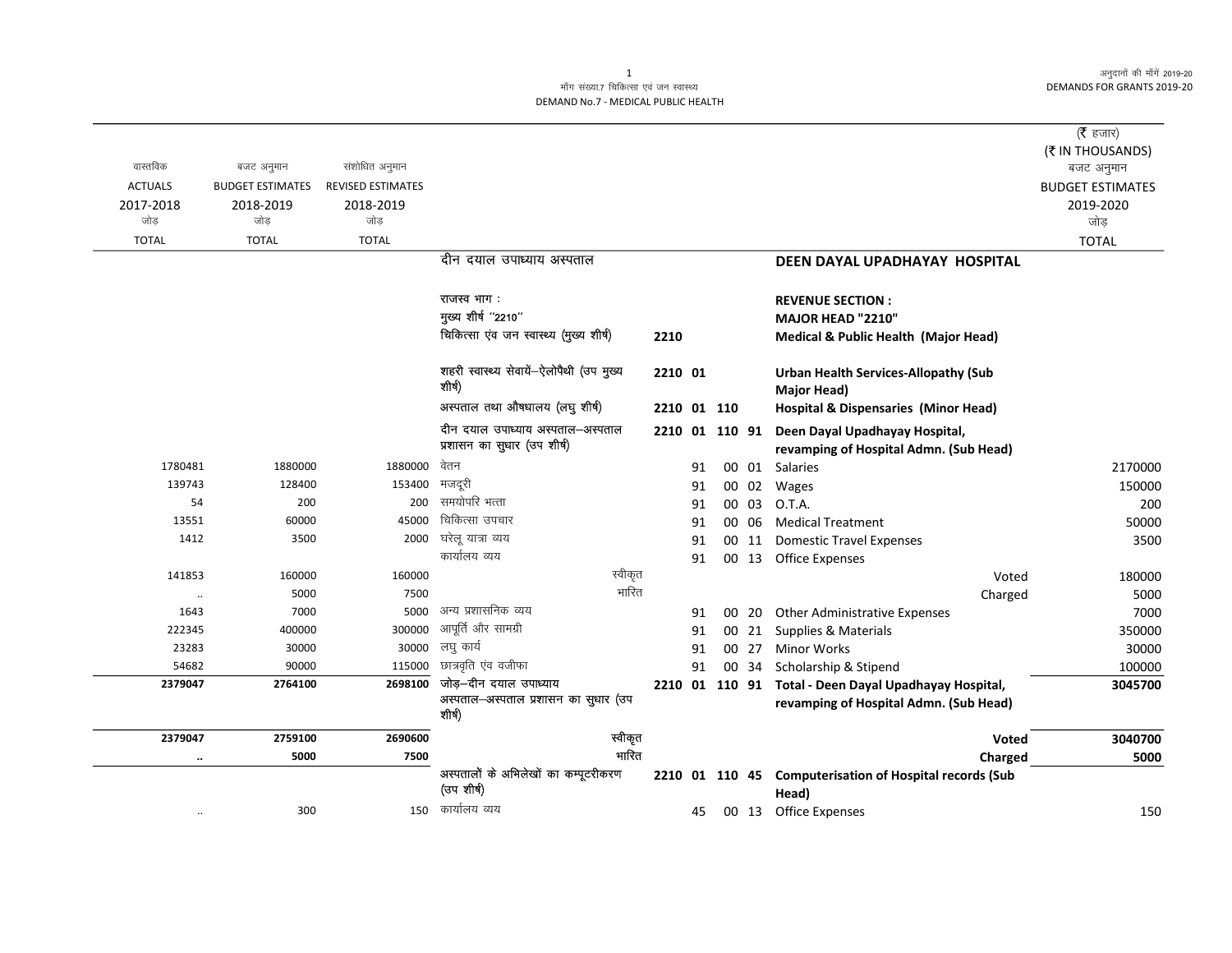अनुदानों की माँगें 2019-20 **DEMANDS FOR GRANTS 2019-20** 

 $\overline{\phantom{0}}$ 

## माँग संख्या.7 चिकित्सा एवं जन स्वास्थ्य DEMAND No.7 - MEDICAL PUBLIC HEALTH

| वास्तविक<br><b>ACTUALS</b><br>2017-2018<br>जोड़ | बजट अनुमान<br><b>BUDGET ESTIMATES</b><br>2018-2019<br>जोड़ | संशोधित अनुमान<br>REVISED ESTIMATES<br>2018-2019<br>जोड़ |                                                                          |             |    |                |       |                                                                                                 | ( $\bar{\tau}$ हजार)<br>(₹ IN THOUSANDS)<br>बजट अनुमान<br><b>BUDGET ESTIMATES</b><br>2019-2020<br>जोड़ |
|-------------------------------------------------|------------------------------------------------------------|----------------------------------------------------------|--------------------------------------------------------------------------|-------------|----|----------------|-------|-------------------------------------------------------------------------------------------------|--------------------------------------------------------------------------------------------------------|
| <b>TOTAL</b>                                    | <b>TOTAL</b>                                               | <b>TOTAL</b>                                             |                                                                          |             |    |                |       |                                                                                                 | <b>TOTAL</b>                                                                                           |
|                                                 |                                                            |                                                          | दीन दयाल उपाध्याय अस्पताल                                                |             |    |                |       | DEEN DAYAL UPADHAYAY HOSPITAL                                                                   |                                                                                                        |
|                                                 |                                                            |                                                          | राजस्व भाग :                                                             |             |    |                |       | <b>REVENUE SECTION:</b>                                                                         |                                                                                                        |
|                                                 |                                                            |                                                          | मुख्य शीर्ष "2210"                                                       |             |    |                |       | MAJOR HEAD "2210"                                                                               |                                                                                                        |
|                                                 |                                                            |                                                          | चिकित्सा एंव जन स्वास्थ्य (मुख्य शीर्ष)                                  | 2210        |    |                |       | Medical & Public Health (Major Head)                                                            |                                                                                                        |
|                                                 |                                                            |                                                          | शहरी स्वास्थ्य सेवायें-ऐलोपैथी (उप मुख्य<br>शीर्ष)                       | 2210 01     |    |                |       | <b>Urban Health Services-Allopathy (Sub</b><br>Major Head)                                      |                                                                                                        |
|                                                 |                                                            |                                                          | अस्पताल तथा औषधालय (लघु शीर्ष)                                           | 2210 01 110 |    |                |       | <b>Hospital &amp; Dispensaries (Minor Head)</b>                                                 |                                                                                                        |
|                                                 |                                                            |                                                          | दीन दयाल उपाध्याय अस्पताल-अस्पताल<br>प्रशासन का सुधार (उप शीर्ष)         |             |    | 2210 01 110 91 |       | Deen Dayal Upadhayay Hospital,<br>revamping of Hospital Admn. (Sub Head)                        |                                                                                                        |
| 1780481                                         | 1880000                                                    | 1880000                                                  | वेतन                                                                     |             | 91 |                | 00 01 | Salaries                                                                                        | 2170000                                                                                                |
| 139743                                          | 128400                                                     | 153400                                                   | मजदूरी                                                                   |             | 91 |                | 00 02 | Wages                                                                                           | 150000                                                                                                 |
| 54                                              | 200                                                        | 200                                                      | समयोपरि भत्ता                                                            |             | 91 |                | 00 03 | O.T.A.                                                                                          | 200                                                                                                    |
| 13551                                           | 60000                                                      | 45000                                                    | चिकित्सा उपचार                                                           |             | 91 |                | 00 06 | <b>Medical Treatment</b>                                                                        | 50000                                                                                                  |
| 1412                                            | 3500                                                       | 2000                                                     | घरेलू यात्रा व्यय                                                        |             | 91 |                |       | 00 11 Domestic Travel Expenses                                                                  | 3500                                                                                                   |
|                                                 |                                                            |                                                          | कार्यालय व्यय                                                            |             | 91 |                |       | 00 13 Office Expenses                                                                           |                                                                                                        |
| 141853                                          | 160000                                                     | 160000                                                   | स्वीकृत                                                                  |             |    |                |       | Voted                                                                                           | 180000                                                                                                 |
| $\ldots$                                        | 5000                                                       | 7500                                                     | भारित                                                                    |             |    |                |       | Charged                                                                                         | 5000                                                                                                   |
| 1643                                            | 7000                                                       | 5000                                                     | अन्य प्रशासनिक व्यय                                                      |             | 91 |                | 00 20 | <b>Other Administrative Expenses</b>                                                            | 7000                                                                                                   |
| 222345                                          | 400000                                                     | 300000                                                   | आपूर्ति और सामग्री                                                       |             | 91 |                | 00 21 | Supplies & Materials                                                                            | 350000                                                                                                 |
| 23283                                           | 30000                                                      | 30000                                                    | लघु कार्य                                                                |             | 91 |                | 00 27 | <b>Minor Works</b>                                                                              | 30000                                                                                                  |
| 54682                                           | 90000                                                      | 115000                                                   | छात्रवृति एंव वजीफा                                                      |             | 91 |                | 00 34 | Scholarship & Stipend                                                                           | 100000                                                                                                 |
| 2379047                                         | 2764100                                                    | 2698100                                                  | जोड़-दीन दयाल उपाध्याय<br>अस्पताल–अस्पताल प्रशासन का सुधार (उप<br>शीर्ष) |             |    |                |       | 2210 01 110 91 Total - Deen Dayal Upadhayay Hospital,<br>revamping of Hospital Admn. (Sub Head) | 3045700                                                                                                |
| 2379047                                         | 2759100                                                    | 2690600                                                  | स्वीकृत                                                                  |             |    |                |       | <b>Voted</b>                                                                                    | 3040700                                                                                                |
| $\ldots$                                        | 5000                                                       | 7500                                                     | भारित                                                                    |             |    |                |       | Charged                                                                                         | 5000                                                                                                   |
|                                                 |                                                            |                                                          | अस्पतालों के अभिलेखों का कम्पूटरीकरण<br>(उप शीर्ष)                       |             |    |                |       | 2210 01 110 45 Computerisation of Hospital records (Sub<br>Head)                                |                                                                                                        |
| $\ldots$                                        | 300                                                        |                                                          | 150 कार्यालय व्यय                                                        |             | 45 |                |       | 00 13 Office Expenses                                                                           | 150                                                                                                    |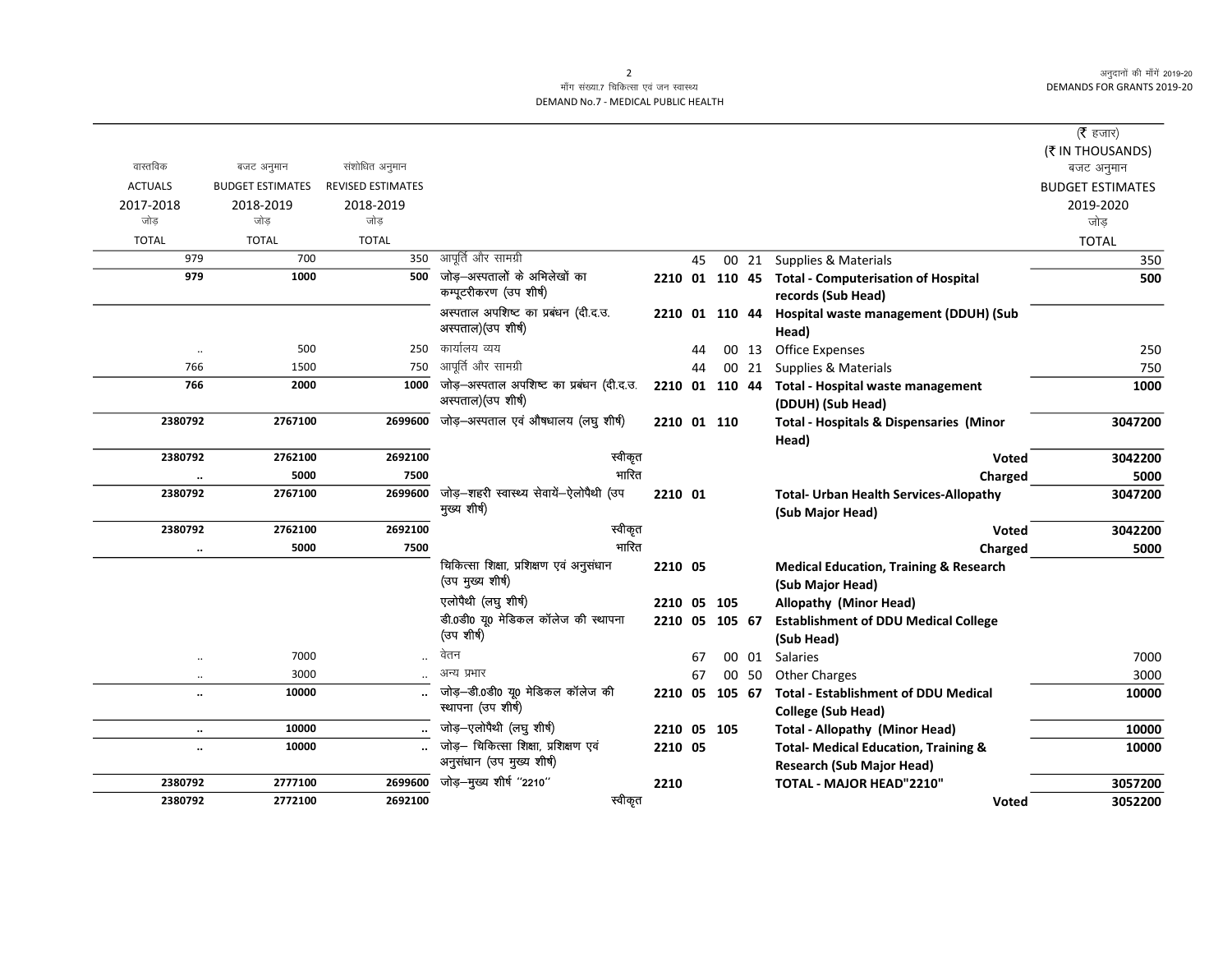अनुदानों की माँगें 2019-20 **DEMANDS FOR GRANTS 2019-20** 

 $\overline{\phantom{0}}$ 

## माँग संख्या.7 चिकित्सा एवं जन स्वास्थ्य DEMAND No.7 - MEDICAL PUBLIC HEALTH

|                      |                         |                          |                                          |             |    |                |       |                                                      | ( $\bar{\tau}$ हजार)    |
|----------------------|-------------------------|--------------------------|------------------------------------------|-------------|----|----------------|-------|------------------------------------------------------|-------------------------|
|                      |                         |                          |                                          |             |    |                |       |                                                      | (₹ IN THOUSANDS)        |
| वास्तविक             | बजट अनुमान              | संशोधित अनुमान           |                                          |             |    |                |       |                                                      | बजट अनुमान              |
| <b>ACTUALS</b>       | <b>BUDGET ESTIMATES</b> | <b>REVISED ESTIMATES</b> |                                          |             |    |                |       |                                                      | <b>BUDGET ESTIMATES</b> |
| 2017-2018            | 2018-2019               | 2018-2019                |                                          |             |    |                |       |                                                      | 2019-2020               |
| जोड                  | जोड                     | जोड                      |                                          |             |    |                |       |                                                      | जोड़                    |
| <b>TOTAL</b>         | <b>TOTAL</b>            | <b>TOTAL</b>             |                                          |             |    |                |       |                                                      | <b>TOTAL</b>            |
| 979                  | 700                     | 350                      | आपूर्ति और सामग्री                       |             | 45 |                | 00 21 | Supplies & Materials                                 | 350                     |
| 979                  | 1000                    | 500                      | जोड़—अस्पतालों के अभिलेखों का            |             |    |                |       | 2210 01 110 45 Total - Computerisation of Hospital   | 500                     |
|                      |                         |                          | कम्पूटरीकरण (उप शीर्ष)                   |             |    |                |       | records (Sub Head)                                   |                         |
|                      |                         |                          | अस्पताल अपशिष्ट का प्रबंधन (दी.द.उ.      |             |    |                |       | 2210 01 110 44 Hospital waste management (DDUH) (Sub |                         |
|                      |                         |                          | अस्पताल)(उप शीर्ष)                       |             |    |                |       | Head)                                                |                         |
| $\ldots$             | 500                     | 250                      | कार्यालय व्यय                            |             | 44 |                | 00 13 | <b>Office Expenses</b>                               | 250                     |
| 766                  | 1500                    | 750                      | आपूर्ति और सामग्री                       |             | 44 |                | 00 21 | Supplies & Materials                                 | 750                     |
| 766                  | 2000                    | 1000                     | जोड़-अस्पताल अपशिष्ट का प्रबंधन (दी.द.उ. |             |    | 2210 01 110 44 |       | Total - Hospital waste management                    | 1000                    |
|                      |                         |                          | अस्पताल)(उप शीर्ष)                       |             |    |                |       | (DDUH) (Sub Head)                                    |                         |
| 2380792              | 2767100                 | 2699600                  | जोड़-अस्पताल एवं औषधालय (लघु शीर्ष)      | 2210 01 110 |    |                |       | <b>Total - Hospitals &amp; Dispensaries (Minor</b>   | 3047200                 |
|                      |                         |                          |                                          |             |    |                |       | Head)                                                |                         |
| 2380792              | 2762100                 | 2692100                  | स्वीकृत                                  |             |    |                |       | Voted                                                | 3042200                 |
| $\ddot{\phantom{0}}$ | 5000                    | 7500                     | भारित                                    |             |    |                |       | Charged                                              | 5000                    |
| 2380792              | 2767100                 | 2699600                  | जोड़-शहरी स्वास्थ्य सेवायें-ऐलोपैथी (उप  | 2210 01     |    |                |       | <b>Total- Urban Health Services-Allopathy</b>        | 3047200                 |
|                      |                         |                          | मुख्य शीर्ष)                             |             |    |                |       | (Sub Major Head)                                     |                         |
| 2380792              | 2762100                 | 2692100                  | स्वीकृत                                  |             |    |                |       | <b>Voted</b>                                         | 3042200                 |
| $\ldots$             | 5000                    | 7500                     | भारित                                    |             |    |                |       | Charged                                              | 5000                    |
|                      |                         |                          | चिकित्सा शिक्षा, प्रशिक्षण एवं अनुसंधान  | 2210 05     |    |                |       | <b>Medical Education, Training &amp; Research</b>    |                         |
|                      |                         |                          | (उप मुख्य शीर्ष)                         |             |    |                |       | (Sub Major Head)                                     |                         |
|                      |                         |                          | एलोपैथी (लघु शीर्ष)                      | 2210 05     |    | 105            |       | Allopathy (Minor Head)                               |                         |
|                      |                         |                          | डी.0डी0 यू0 मेडिकल कॉलेज की स्थापना      |             |    | 2210 05 105 67 |       | <b>Establishment of DDU Medical College</b>          |                         |
|                      |                         |                          | (उप शीर्ष)                               |             |    |                |       | (Sub Head)                                           |                         |
| $\ddot{\phantom{a}}$ | 7000                    |                          | वेतन                                     |             | 67 |                | 00 01 | Salaries                                             | 7000                    |
| $\cdot\cdot$         | 3000                    |                          | अन्य प्रभार                              |             | 67 |                | 00 50 | <b>Other Charges</b>                                 | 3000                    |
| $\ddotsc$            | 10000                   |                          | जोड़-डी.0डी0 यू0 मेडिकल कॉलेज की         | 2210        | 05 | 105 67         |       | <b>Total - Establishment of DDU Medical</b>          | 10000                   |
|                      |                         |                          | स्थापना (उप शीर्ष)                       |             |    |                |       | <b>College (Sub Head)</b>                            |                         |
| $\ddotsc$            | 10000                   |                          | जोड़-एलोपैथी (लघु शीर्ष)                 | 2210 05 105 |    |                |       | <b>Total - Allopathy (Minor Head)</b>                | 10000                   |
| $\ddotsc$            | 10000                   |                          | जोड़- चिकित्सा शिक्षा, प्रशिक्षण एवं     | 2210 05     |    |                |       | <b>Total- Medical Education, Training &amp;</b>      | 10000                   |
|                      |                         |                          | अनुसंधान (उप मुख्य शीर्ष)                |             |    |                |       | <b>Research (Sub Major Head)</b>                     |                         |
| 2380792              | 2777100                 | 2699600                  | जोड़-मुख्य शीर्ष "2210"                  | 2210        |    |                |       | TOTAL - MAJOR HEAD"2210"                             | 3057200                 |
| 2380792              | 2772100                 | 2692100                  | स्वीकृत                                  |             |    |                |       | <b>Voted</b>                                         | 3052200                 |
|                      |                         |                          |                                          |             |    |                |       |                                                      |                         |

 $\overline{2}$